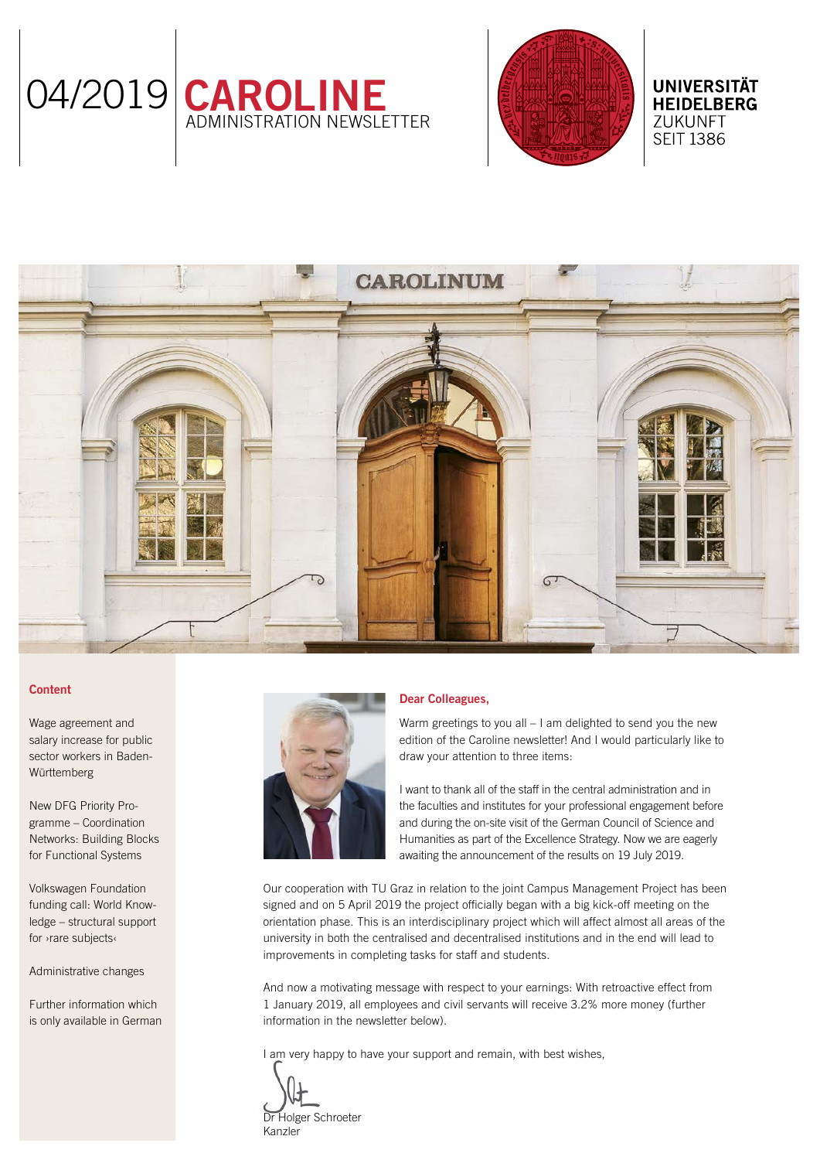



# **HEIDELBERG ZUKUNFT SEIT 1386**

**UNIVERSITÄT** 



## Content

[Wage agreement and](#page-1-0)  [salary increase for public](#page-1-0)  [sector workers in Baden-](#page-1-0)[Württemberg](#page-1-0)

[New DFG Priority Pro](#page-1-0)[gramme – Coordination](#page-1-0)  [Networks: Building Blocks](#page-1-0)  [for Functional Systems](#page-1-0)

[Volkswagen Foundation](#page-2-0)  [funding call: World Know](#page-2-0)[ledge – structural support](#page-2-0)  [for ›rare subjects‹](#page-2-0)

[Administrative changes](#page-2-0)

[Further information which](#page-2-0)  [is only available in German](#page-2-0)



## Dear Colleagues,

Warm greetings to you all – I am delighted to send you the new edition of the Caroline newsletter! And I would particularly like to draw your attention to three items:

I want to thank all of the staff in the central administration and in the faculties and institutes for your professional engagement before and during the on-site visit of the German Council of Science and Humanities as part of the Excellence Strategy. Now we are eagerly awaiting the announcement of the results on 19 July 2019.

Our cooperation with TU Graz in relation to the joint Campus Management Project has been signed and on 5 April 2019 the project officially began with a big kick-off meeting on the orientation phase. This is an interdisciplinary project which will affect almost all areas of the university in both the centralised and decentralised institutions and in the end will lead to improvements in completing tasks for staff and students.

And now a motivating message with respect to your earnings: With retroactive effect from 1 January 2019, all employees and civil servants will receive 3.2% more money (further information in the newsletter below).

I am very happy to have your support and remain, with best wishes,

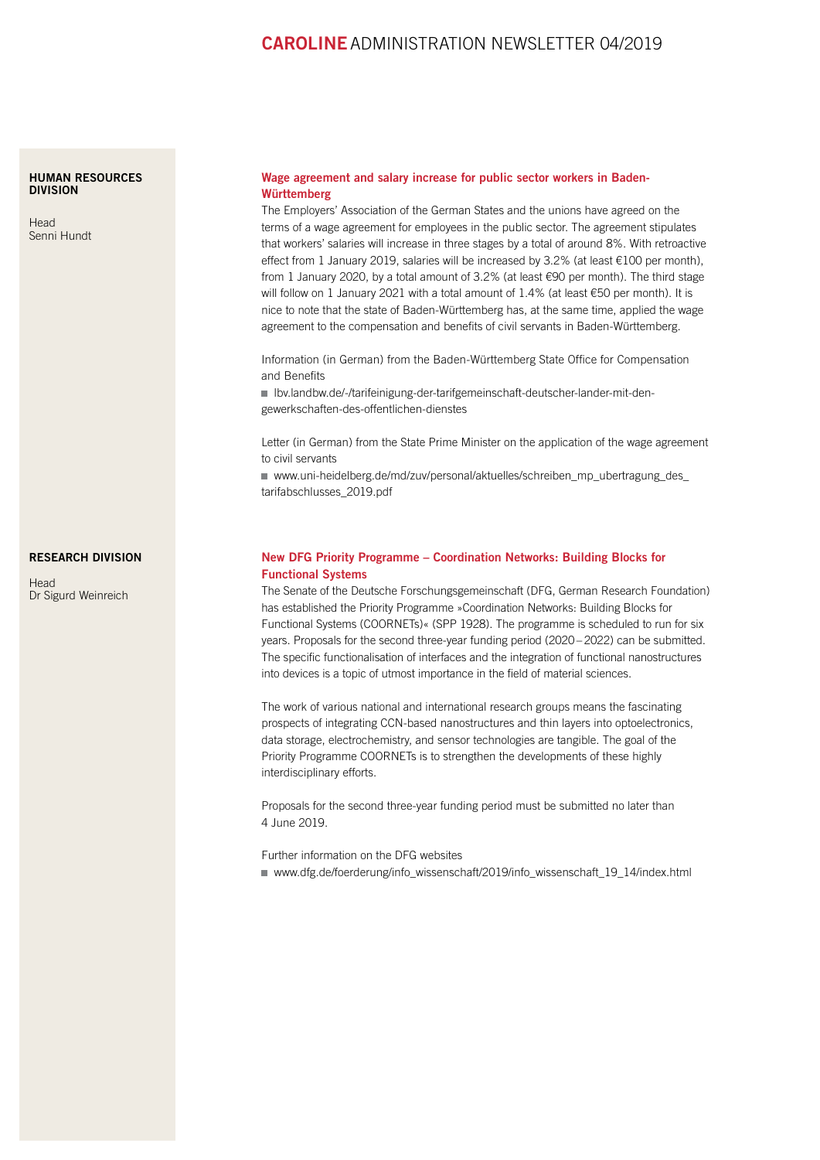## CAROLINEADMINISTRATION NEWSLETTER 04/2019

#### <span id="page-1-0"></span>[HUMAN RESOURCES](https://www.uni-heidelberg.de/institutions/administration/hr/index.html)  [DIVISION](https://www.uni-heidelberg.de/institutions/administration/hr/index.html)

[Head](https://www.uni-heidelberg.de/institutions/administration/hr/index.html) [Senni Hundt](https://www.uni-heidelberg.de/institutions/administration/hr/index.html)

### [RESEARCH DIVISION](http://www.uni-heidelberg.de/institutions/administration/research/index.html)

**[Head](http://www.uni-heidelberg.de/institutions/administration/research/index.html)** [Dr Sigurd Weinreich](http://www.uni-heidelberg.de/institutions/administration/research/index.html)

### Wage agreement and salary increase for public sector workers in Baden-Württemberg

The Employers' Association of the German States and the unions have agreed on the terms of a wage agreement for employees in the public sector. The agreement stipulates that workers' salaries will increase in three stages by a total of around 8%. With retroactive effect from 1 January 2019, salaries will be increased by 3.2% (at least €100 per month), from 1 January 2020, by a total amount of 3.2% (at least €90 per month). The third stage will follow on 1 January 2021 with a total amount of 1.4% (at least €50 per month). It is nice to note that the state of Baden-Württemberg has, at the same time, applied the wage agreement to the compensation and benefits of civil servants in Baden-Württemberg.

Information (in German) from the Baden-Württemberg State Office for Compensation and Benefits

 [lbv.landbw.de/-/tarifeinigung-der-tarifgemeinschaft-deutscher-lander-mit-den](https://lbv.landbw.de/-/tarifeinigung-der-tarifgemeinschaft-deutscher-lander-mit-den-gewerkschaften-des-offentlichen-dienstes)[gewerkschaften-des-offentlichen-dienstes](https://lbv.landbw.de/-/tarifeinigung-der-tarifgemeinschaft-deutscher-lander-mit-den-gewerkschaften-des-offentlichen-dienstes)

Letter (in German) from the State Prime Minister on the application of the wage agreement to civil servants

■ [www.uni-heidelberg.de/md/zuv/personal/aktuelles/schreiben\\_mp\\_ubertragung\\_des\\_](https://www.uni-heidelberg.de/md/zuv/personal/aktuelles/schreiben_mp_ubertragung_des_tarifabschlusses_2019.pdf) [tarifabschlusses\\_2019.pdf](https://www.uni-heidelberg.de/md/zuv/personal/aktuelles/schreiben_mp_ubertragung_des_tarifabschlusses_2019.pdf)

### New DFG Priority Programme – Coordination Networks: Building Blocks for Functional Systems

The Senate of the Deutsche Forschungsgemeinschaft (DFG, German Research Foundation) has established the Priority Programme »Coordination Networks: Building Blocks for Functional Systems (COORNETs)« (SPP 1928). The programme is scheduled to run for six years. Proposals for the second three-year funding period (2020 – 2022) can be submitted. The specific functionalisation of interfaces and the integration of functional nanostructures into devices is a topic of utmost importance in the field of material sciences.

The work of various national and international research groups means the fascinating prospects of integrating CCN-based nanostructures and thin layers into optoelectronics, data storage, electrochemistry, and sensor technologies are tangible. The goal of the Priority Programme COORNETs is to strengthen the developments of these highly interdisciplinary efforts.

Proposals for the second three-year funding period must be submitted no later than 4 June 2019.

Further information on the DFG websites ■ [www.dfg.de/foerderung/info\\_wissenschaft/2019/info\\_wissenschaft\\_19\\_14/index.html](https://www.dfg.de/foerderung/info_wissenschaft/2019/info_wissenschaft_19_14/index.html)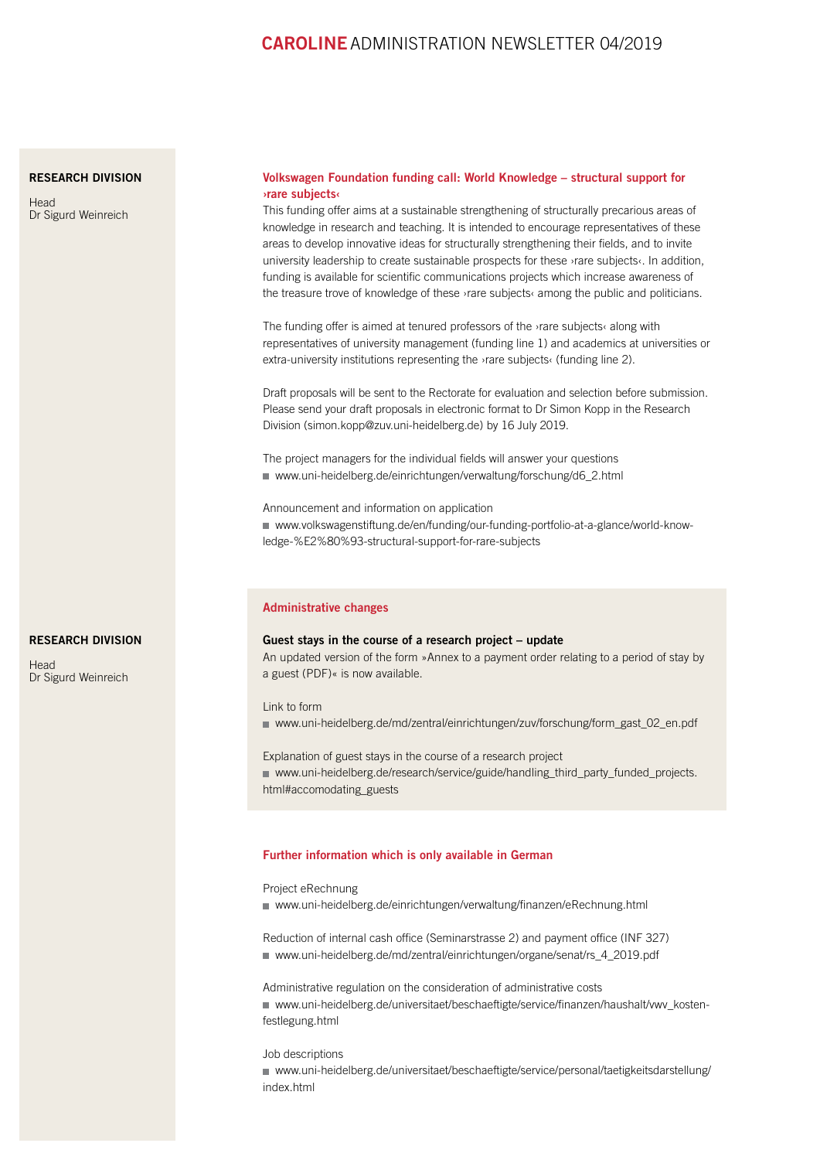## CAROLINEADMINISTRATION NEWSLETTER 04/2019

### <span id="page-2-0"></span>[RESEARCH DIVISION](http://www.uni-heidelberg.de/institutions/administration/research/index.html)

**[Head](http://www.uni-heidelberg.de/institutions/administration/research/index.html)** [Dr Sigurd Weinreich](http://www.uni-heidelberg.de/institutions/administration/research/index.html)

## Volkswagen Foundation funding call: World Knowledge – structural support for ›rare subjects‹

This funding offer aims at a sustainable strengthening of structurally precarious areas of knowledge in research and teaching. It is intended to encourage representatives of these areas to develop innovative ideas for structurally strengthening their fields, and to invite university leadership to create sustainable prospects for these ›rare subjects‹. In addition, funding is available for scientific communications projects which increase awareness of the treasure trove of knowledge of these ›rare subjects‹ among the public and politicians.

The funding offer is aimed at tenured professors of the ›rare subjects‹ along with representatives of university management (funding line 1) and academics at universities or extra-university institutions representing the *rare* subjects (funding line 2).

Draft proposals will be sent to the Rectorate for evaluation and selection before submission. Please send your draft proposals in electronic format to Dr Simon Kopp in the Research Division (simon.kopp@zuv.uni-heidelberg.de) by 16 July 2019.

The project managers for the individual fields will answer your questions ■ [www.uni-heidelberg.de/einrichtungen/verwaltung/forschung/d6\\_2.html](https://www.uni-heidelberg.de/einrichtungen/verwaltung/forschung/d6_2.html)

Announcement and information on application [www.volkswagenstiftung.de/en/funding/our-funding-portfolio-at-a-glance/world-know](https://www.volkswagenstiftung.de/en/funding/our-funding-portfolio-at-a-glance/world-knowledge-%e2%80%93-structural-support-for-rare-subjects)[ledge-%E2%80%93-structural-support-for-rare-subjects](https://www.volkswagenstiftung.de/en/funding/our-funding-portfolio-at-a-glance/world-knowledge-%e2%80%93-structural-support-for-rare-subjects)

### Administrative changes

#### Guest stays in the course of a research project – update

An updated version of the form »Annex to a payment order relating to a period of stay by a guest (PDF)« is now available.

Link to form ■ www.uni-heidelberg.de/md/zentral/einrichtungen/zuv/forschung/form\_gast\_02\_en.pdf

Explanation of guest stays in the course of a research project [www.uni-heidelberg.de/research/service/guide/handling\\_third\\_party\\_funded\\_projects.](https://www.uni-heidelberg.de/research/service/guide/handling_third_party_funded_projects.html#accomodating_guests) html#accomodating\_guests

#### Further information which is only available in German

Project eRechnung

[www.uni-heidelberg.de/einrichtungen/verwaltung/finanzen/eRechnung.html](https://www.uni-heidelberg.de/einrichtungen/verwaltung/finanzen/eRechnung.html)

Reduction of internal cash office (Seminarstrasse 2) and payment office (INF 327) ■ [www.uni-heidelberg.de/md/zentral/einrichtungen/organe/senat/rs\\_4\\_2019.pdf](https://www.uni-heidelberg.de/md/zentral/einrichtungen/organe/senat/rs_4_2019.pdf)

Administrative regulation on the consideration of administrative costs ■ [www.uni-heidelberg.de/universitaet/beschaeftigte/service/finanzen/haushalt/vwv\\_kosten](https://www.uni-heidelberg.de/universitaet/beschaeftigte/service/finanzen/haushalt/vwv_kostenfestlegung.html)[festlegung.html](https://www.uni-heidelberg.de/universitaet/beschaeftigte/service/finanzen/haushalt/vwv_kostenfestlegung.html)

Job descriptions

 [www.uni-heidelberg.de/universitaet/beschaeftigte/service/personal/taetigkeitsdarstellung/](https://www.uni-heidelberg.de/universitaet/beschaeftigte/service/personal/taetigkeitsdarstellung/index.html) [index.html](https://www.uni-heidelberg.de/universitaet/beschaeftigte/service/personal/taetigkeitsdarstellung/index.html)

## [RESEARCH DIVISION](http://www.uni-heidelberg.de/institutions/administration/research/index.html)

[Head](http://www.uni-heidelberg.de/institutions/administration/research/index.html) [Dr Sigurd Weinreich](http://www.uni-heidelberg.de/institutions/administration/research/index.html)